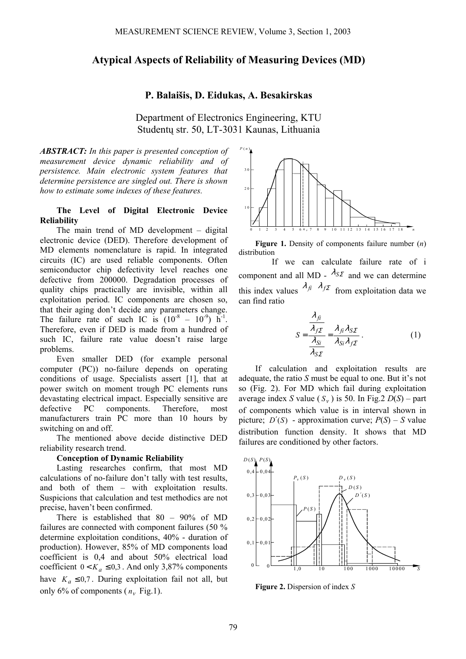# **Atypical Aspects of Reliability of Measuring Devices (MD)**

## **P. Balaišis, D. Eidukas, A. Besakirskas**

Department of Electronics Engineering, KTU Studentų str. 50, LT-3031 Kaunas, Lithuania

*ABSTRACT: In this paper is presented conception of measurement device dynamic reliability and of persistence. Main electronic system features that determine persistence are singled out. There is shown how to estimate some indexes of these features.* 

### **The Level of Digital Electronic Device Reliability**

The main trend of MD development – digital electronic device (DED). Therefore development of MD elements nomenclature is rapid. In integrated circuits (IC) are used reliable components. Often semiconductor chip defectivity level reaches one defective from 200000. Degradation processes of quality chips practically are invisible, within all exploitation period. IC components are chosen so, that their aging don't decide any parameters change. The failure rate of such IC is  $(10^{-8} - 10^{-9})$  h<sup>-1</sup>. Therefore, even if DED is made from a hundred of such IC, failure rate value doesn't raise large problems.

Even smaller DED (for example personal computer (PC)) no-failure depends on operating conditions of usage. Specialists assert [1], that at power switch on moment trough PC elements runs devastating electrical impact. Especially sensitive are defective PC components. Therefore, most manufacturers train PC more than 10 hours by switching on and off.

The mentioned above decide distinctive DED reliability research trend.

### **Conception of Dynamic Reliability**

Lasting researches confirm, that most MD calculations of no-failure don't tally with test results, and both of them – with exploitation results. Suspicions that calculation and test methodics are not precise, haven't been confirmed.

There is established that 80 – 90% of MD failures are connected with component failures (50 % determine exploitation conditions, 40% - duration of production). However, 85% of MD components load coefficient is 0,4 and about 50% electrical load coefficient  $0 < K_a \leq 0.3$ . And only 3,87% components have  $K_a \leq 0.7$ . During exploitation fail not all, but only 6% of components  $(n_v$  Fig.1).



**Figure 1.** Density of components failure number (*n*) distribution

 If we can calculate failure rate of i component and all MD -  $\lambda_{S\mathcal{L}}$  and we can determine this index values  $\lambda_{fi}$   $\lambda_{f\Sigma}$  from exploitation data we can find ratio

$$
S = \frac{\lambda_{f\hat{I}}}{\frac{\lambda_{S\hat{I}}}{\lambda_{S\hat{I}}}} = \frac{\lambda_{f\hat{I}} \lambda_{S\hat{Z}}}{\lambda_{S\hat{I}} \lambda_{f\hat{Z}}}.
$$
 (1)

 If calculation and exploitation results are adequate, the ratio *S* must be equal to one. But it's not so (Fig. 2). For MD which fail during exploitation average index *S* value ( $S_v$ ) is 50. In Fig. 2  $D(S)$  – part of components which value is in interval shown in picture;  $D'(S)$  - approximation curve;  $P(S)$  – *S* value distribution function density. It shows that MD failures are conditioned by other factors.



**Figure 2.** Dispersion of index *S*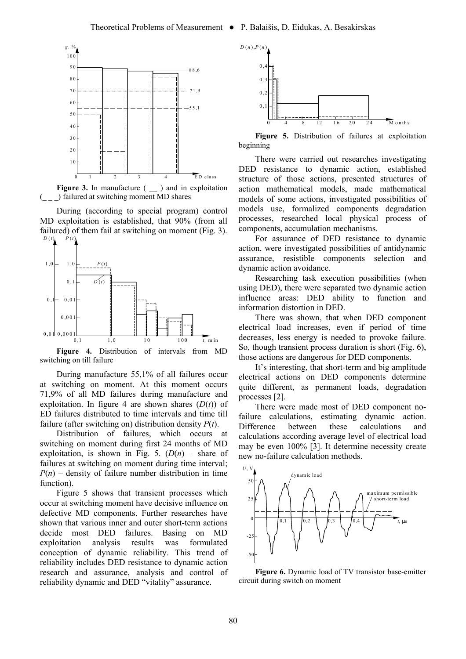

**Figure 3.** In manufacture ( $\qquad$ ) and in exploitation (\_ \_ \_) failured at switching moment MD shares

 During (according to special program) control MD exploitation is established, that 90% (from all failured) of them fail at switching on moment (Fig. 3).  $D(t)$   $P(t)$ 



**Figure 4.** Distribution of intervals from MD switching on till failure

During manufacture 55,1% of all failures occur at switching on moment. At this moment occurs 71,9% of all MD failures during manufacture and exploitation. In figure 4 are shown shares  $(D(t))$  of ED failures distributed to time intervals and time till failure (after switching on) distribution density *P*(*t*).

Distribution of failures, which occurs at switching on moment during first 24 months of MD exploitation, is shown in Fig. 5.  $(D(n)$  – share of failures at switching on moment during time interval;  $P(n)$  – density of failure number distribution in time function).

Figure 5 shows that transient processes which occur at switching moment have decisive influence on defective MD components. Further researches have shown that various inner and outer short-term actions decide most DED failures. Basing on MD exploitation analysis results was formulated conception of dynamic reliability. This trend of reliability includes DED resistance to dynamic action research and assurance, analysis and control of reliability dynamic and DED "vitality" assurance.



**Figure 5.** Distribution of failures at exploitation beginning

There were carried out researches investigating DED resistance to dynamic action, established structure of those actions, presented structures of action mathematical models, made mathematical models of some actions, investigated possibilities of models use, formalized components degradation processes, researched local physical process of components, accumulation mechanisms.

For assurance of DED resistance to dynamic action, were investigated possibilities of antidynamic assurance, resistible components selection and dynamic action avoidance.

Researching task execution possibilities (when using DED), there were separated two dynamic action influence areas: DED ability to function and information distortion in DED.

There was shown, that when DED component electrical load increases, even if period of time decreases, less energy is needed to provoke failure. So, though transient process duration is short (Fig. 6), those actions are dangerous for DED components.

It's interesting, that short-term and big amplitude electrical actions on DED components determine quite different, as permanent loads, degradation processes [2].

There were made most of DED component nofailure calculations, estimating dynamic action. Difference between these calculations and calculations according average level of electrical load may be even 100% [3]. It determine necessity create new no-failure calculation methods.



**Figure 6.** Dynamic load of TV transistor base-emitter circuit during switch on moment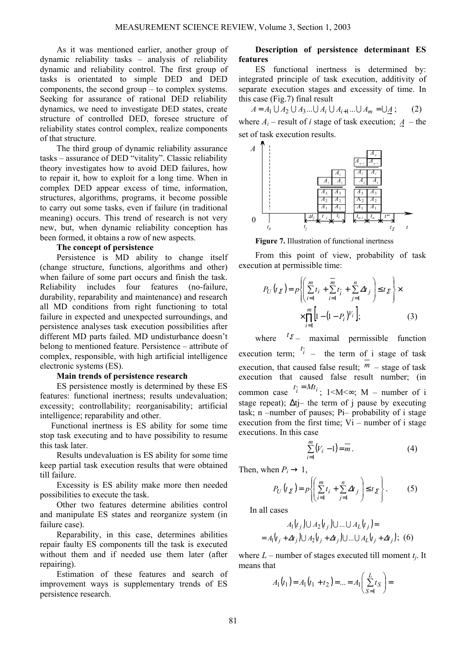As it was mentioned earlier, another group of dynamic reliability tasks – analysis of reliability dynamic and reliability control. The first group of tasks is orientated to simple DED and DED components, the second group – to complex systems. Seeking for assurance of rational DED reliability dynamics, we need to investigate DED states, create structure of controlled DED, foresee structure of reliability states control complex, realize components of that structure.

The third group of dynamic reliability assurance tasks – assurance of DED "vitality". Classic reliability theory investigates how to avoid DED failures, how to repair it, how to exploit for a long time. When in complex DED appear excess of time, information, structures, algorithms, programs, it become possible to carry out some tasks, even if failure (in traditional meaning) occurs. This trend of research is not very new, but, when dynamic reliability conception has been formed, it obtains a row of new aspects.

#### **The concept of persistence**

Persistence is MD ability to change itself (change structure, functions, algorithms and other) when failure of some part occurs and finish the task. Reliability includes four features (no-failure, durability, reparability and maintenance) and research all MD conditions from right functioning to total failure in expected and unexpected surroundings, and persistence analyses task execution possibilities after different MD parts failed. MD undisturbance doesn't belong to mentioned feature. Persistence – attribute of complex, responsible, with high artificial intelligence electronic systems (ES).

#### **Main trends of persistence research**

ES persistence mostly is determined by these ES features: functional inertness; results undevaluation; excessity; controllability; reorganisability; artificial intelligence; reparability and other.

Functional inertness is ES ability for some time stop task executing and to have possibility to resume this task later.

Results undevaluation is ES ability for some time keep partial task execution results that were obtained till failure.

Excessity is ES ability make more then needed possibilities to execute the task.

Other two features determine abilities control and manipulate ES states and reorganize system (in failure case).

Reparability, in this case, determines abilities repair faulty ES components till the task is executed without them and if needed use them later (after repairing).

Estimation of these features and search of improvement ways is supplementary trends of ES persistence research.

## **Description of persistence determinant ES features**

ES functional inertness is determined by: integrated principle of task execution, additivity of separate execution stages and excessity of time. In this case (Fig.7) final result

 $A = A_1 \cup A_2 \cup A_3 ... \cup A_i \cup A_{i+1} ... \cup A_m = \cup \underline{A}$ ; (2) where  $A_i$  – result of *i* stage of task execution;  $A_i$  – the set of task execution results.



**Figure 7.** Illustration of functional inertness

From this point of view, probability of task execution at permissible time:

$$
P_U(t_{\Sigma}) = p\left\{ \left( \sum_{i=1}^m t_i + \sum_{i=1}^m t_i + \sum_{j=1}^n \Delta t_j \right) \le t_{\Sigma} \right\} \times \times \prod_{i=1}^m \left[ 1 - (1 - P_i)^{V_i} \right];
$$
 (3)

where  ${}^{t_{\mathcal{L}}}$  – maximal permissible function execution term;  $\frac{t_i}{t}$  – the term of i stage of task execution, that caused false result;  $m$  – stage of task execution that caused false result number; (in common case  $t_i = Mt_i$ ; 1<M< $\infty$ ; M – number of i stage repeat);  $\Delta t$  – the term of j pause by executing task; n –number of pauses; Pi– probability of i stage execution from the first time;  $Vi$  – number of i stage executions. In this case

$$
\sum_{i=1}^{m} (V_i - 1) = \overline{m} \,.
$$
 (4)

Then, when  $P_i \rightarrow 1$ ,

$$
P_U(t_{\Sigma}) = p\left\{ \left( \sum_{i=1}^m t_i + \sum_{j=1}^n \Delta t_j \right) \le t_{\Sigma} \right\}.
$$
 (5)

In all cases

$$
A_1(t_j) \cup A_2(t_j) \cup ... \cup A_L(t_j) =
$$
  
=  $A_1(t_j + \Delta t_j) \cup A_2(t_j + \Delta t_j) \cup ... \cup A_L(t_j + \Delta t_j);$  (6)

where  $L$  – number of stages executed till moment  $t_i$ . It means that

$$
A_1(t_1) = A_1(t_1 + t_2) = \dots = A_1 \left( \sum_{S=1}^{L} t_S \right) =
$$